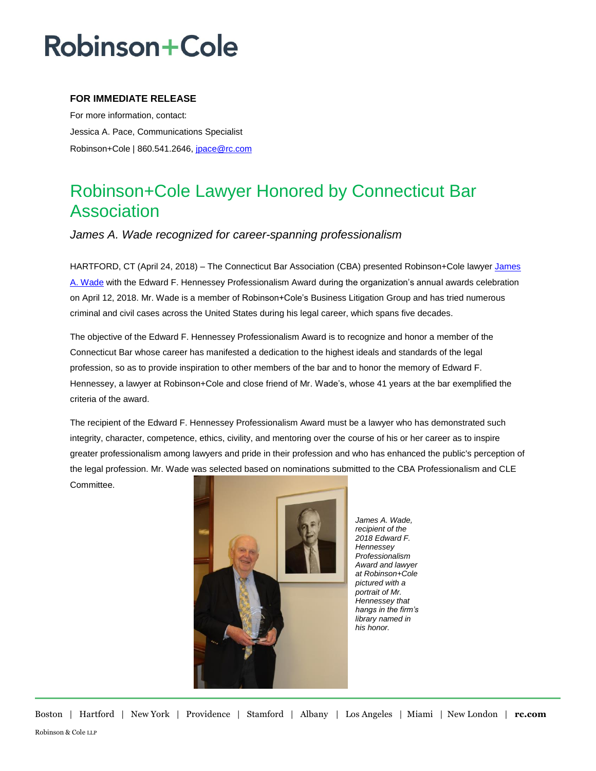# **Robinson+Cole**

### **FOR IMMEDIATE RELEASE**

For more information, contact: Jessica A. Pace, Communications Specialist Robinson+Cole | 860.541.2646, [jpace@rc.com](mailto:jpace@rc.com)

### Robinson+Cole Lawyer Honored by Connecticut Bar Association

*James A. Wade recognized for career-spanning professionalism*

HARTFORD, CT (April 24, 2018) – The Connecticut Bar Association (CBA) presented Robinson+Cole lawyer James [A. Wade](http://www.rc.com/people/JamesAWade.cfm) with the Edward F. Hennessey Professionalism Award during the organization's annual awards celebration on April 12, 2018. Mr. Wade is a member of Robinson+Cole's Business Litigation Group and has tried numerous criminal and civil cases across the United States during his legal career, which spans five decades.

The objective of the Edward F. Hennessey Professionalism Award is to recognize and honor a member of the Connecticut Bar whose career has manifested a dedication to the highest ideals and standards of the legal profession, so as to provide inspiration to other members of the bar and to honor the memory of Edward F. Hennessey, a lawyer at Robinson+Cole and close friend of Mr. Wade's, whose 41 years at the bar exemplified the criteria of the award.

The recipient of the Edward F. Hennessey Professionalism Award must be a lawyer who has demonstrated such integrity, character, competence, ethics, civility, and mentoring over the course of his or her career as to inspire greater professionalism among lawyers and pride in their profession and who has enhanced the public's perception of the legal profession. Mr. Wade was selected based on nominations submitted to the CBA Professionalism and CLE Committee.



*James A. Wade, recipient of the 2018 Edward F. Hennessey Professionalism Award and lawyer at Robinson+Cole pictured with a portrait of Mr. Hennessey that hangs in the firm's library named in his honor.*

Boston | Hartford | New York | Providence | Stamford | Albany | Los Angeles | Miami | New London | **rc.com** Robinson & Cole LLP